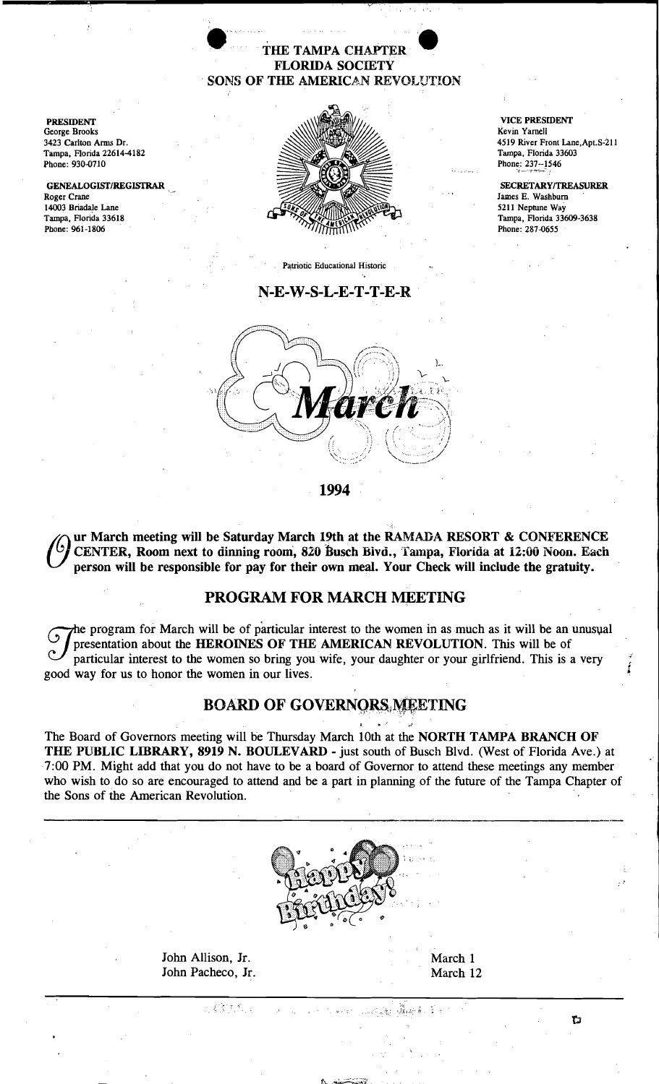# THE TAMPA CHAPTER<br>
FLORIDA SOCIETY<br>
SONS OF THE AMERICAN REVOLUTION THE TAMPA CHAPTER FLORIDA SOCIETY SONS OF THE AMERICAN REVOLUTION

PRESIDENT George Brooks 3423 Carlton Arms Dr. Tampa, Florida 22614-4182 Phone: 930-0710

GENEALOGISf/REGISrRAR Roger Crane 14003 Briadale Lane Tampa, Florida 33618 Phone: 961-1806



Patriotic Educational Historic

#### $N$ -E-W-S-L-E-T-T-E-R



VICE PRESIDENT Kevin Yarnell 4519 River Front Lane, Apt. S-211 Tampa, Florida 33603 Phone: 237--1546

SECRETARY/TREASURER James E. Washburn 5211 Neptune Way Tampa, Florida 33609-3638 Phone: 287-0655

1994

(C) ur March meeting will be Saturday March 19th at the RAMADA RESORT & CONFERENCE<br>CENTER, Room next to dinning room, 820 Busch Bivd., Tampa, Florida at 12:00 Noon. Each<br>norson will be reconomible for nov for their cum moo person will be responsible for pay for their own meal. Your Check will include the gratuity.

### PROGRAM FOR MARCH MEETING

The program for March will be of particular interest to the women in as much as it will be an unusual<br>presentation about the **HEROINES OF THE AMERICAN REVOLUTION**. This will be of particular interest to the women so bring presentation about the HEROINES OF THE AMERICAN REVOLUTION. This will be of good way for us to honor the women in our lives.

## BOARD OF GOVERNORS, MEETING

The Board of Governors meeting will be Thursday March 10th at the NORTH TAMPA BRANCH OF THE PUBLIC LIBRARY, 8919 N. BOULEVARD - just south of Busch Blvd. (West of Florida Ave.) at 7:00 PM. Might add that you do not have to be a board of Governor to attend these meetings any member who wish to do so are encouraged to attend and be a part in planning of the future of the Tampa Chapter of the Sons of the American Revolution.

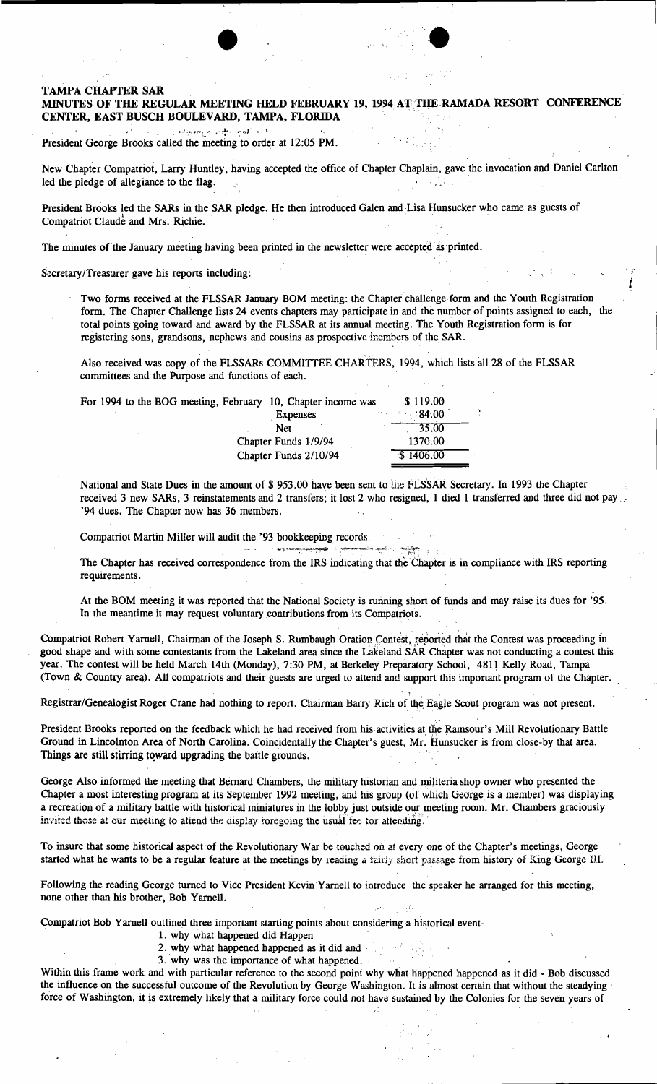#### TAMPA CHAPfER SAR MINUTES OF THE REGULAR MEETING HELD FEBRUARY 19, 1994 AT THE RAMADA RESORT CONFERENCE CENTER, EAST BUSCH BOULEVARD, TAMPA, FLORIDA

+,' , "'~,,:,~,... !\_.. "'~'d ;"'J:l~ i •• President George Brooks called the meeting to order at 12:05 PM.

, New Chapter Compatriot, Larry Huntley, having accepted the office of Chapter Chaplain, gave the invocation and Daniel Carlton led the pledge of allegiance to the flag. President George Brooks called the meeting to order at 12:05 PM.<br>New Chapter Compatriot, Larry Huntley, having accepted the office of Chapter Chaplain, gave the invocation and Daniel<br>led the pledge of allegiance to the fla

President Brooks led the SARs in the SAR pledge. He then introduced Galen and Lisa Hunsucker who came as guests of Compatriot Claude and Mrs. Richie.

The minutes of the January meeting having been printed in the newsletter were accepted as printed.

Secretary/Treasurer gave his reports including:

Two forms received at the FLSSAR January BOM meeting: the Chapter challenge form and the Youth Registration form. The Chapter Challenge lists 24 events chapters may participate in and the number of points assigned to each, the total points going toward and award by the FLSSAR at its annual meeting. The Youth Registration form is for registering sons, grandsons, nephews and cousins as prospective inembers of the SAR.

Also received was copy of the FLSSARs COMMITTEE CHARTERS, 1994, which lists all 28 of the FLSSAR committees and the Purpose and functions of each.

| For 1994 to the BOG meeting, February 10, Chapter income was |                       | \$119.00  |  |
|--------------------------------------------------------------|-----------------------|-----------|--|
|                                                              | <b>Expenses</b>       | $-84.00$  |  |
|                                                              | <b>Net</b>            | 35.00     |  |
|                                                              | Chapter Funds 1/9/94  | 1370.00   |  |
|                                                              | Chapter Funds 2/10/94 | \$1406.00 |  |
|                                                              |                       |           |  |

.\_~~,~~ ". :"'7--~~,,:,~\_.\_, -::"-~.

National and State Dues in the amount of \$ 953.00 have been sent to the FLSSAR Secretary. In 1993 the Chapter received 3 new SARs, 3 reinstatements and 2 transfers; it lost 2 who resigned, 1 died 1 transferred and three did not pay '94 dues. The Chapter now has 36 members.

Compatriot Martin Miller will audit the '93 bookkeeping records

The Chapter has received correspondence from the IRS indicating that the Chapter is in compliance with IRS reporting requirements.

At the BOM meeting it was reported that the National Society is running short of funds and may raise its dues for '95. In the meantime it may request voluntary contributions from its Compatriots.

, , , , , , , , , , , , , ,

,.

Compatriot Robert Yarnell, Chairman of the Joseph S. Rumbaugh Oration Contest, reported that the Contest was proceeding in good shape and with some contestants from the Lakeland area since the Lakeland SAR Chapter was not conducting a contest this year. The contest will be held March 14th (Monday), 7:30 PM, at Berkeley Preparatory School, 4811 Kelly Road, Tampa (Town & Country area). All compatriots and their guests are urged to attend and support this important program of the Chapter.

Registrar/Genealogist Roger Crane had nothing to report. Chairman Barry Rich of the Eagle Scout program was not present.

President Brooks reported on the feedback which he had received from his activities at the Ramsour's Mill Revolutionary Battle Ground in Lincolnton Area of North Carolina. Coincidentally the Chapter's guest, Mr. Hunsucker is from close-by that area. Things are still stirring toward upgrading the battle grounds.

George Also informed the meeting that Bernard Chambers, the military historian and militeria shop owner who presented the Chapter a most interesting program at its September 1992 meeting, and his group (of which George is a member) was displaying a recreation of a military battle with historical miniatures in the lobby just outside our meeting room. Mr. Chambers graciously invited those at our meeting to attend the display foregoing the usual fee for attending.

To insure that some historical aspect of the Revolutionary War be touched on at every one of the Chapter's meetings, George started what he wants to be a regular feature at the meetings by reading a fairly short passage from history of King George III.

Following the reading George turned to Vice President Kevin Yarnell to introduce the speaker he arranged for this meeting, none other than his brother, Bob Yarnell.

Compatriot Bob Yarnell outlined three important starting points about considering a historical event-

- 1. why what happened did Happen
- 2. why what happened happened as it did and '
- . 3. why was the importance of what happened. ,

Within this frame work and with particular reference to the second point why what happened happened as it did - Bob discussed the influence on the successful outcome of the Revolution by George Washington. It is almost certain that without the steadying' force of Washington, it is extremely likely that a military force could not have sustained by the Colonies for the seven years of

 $\ddot{\phantom{0}}$